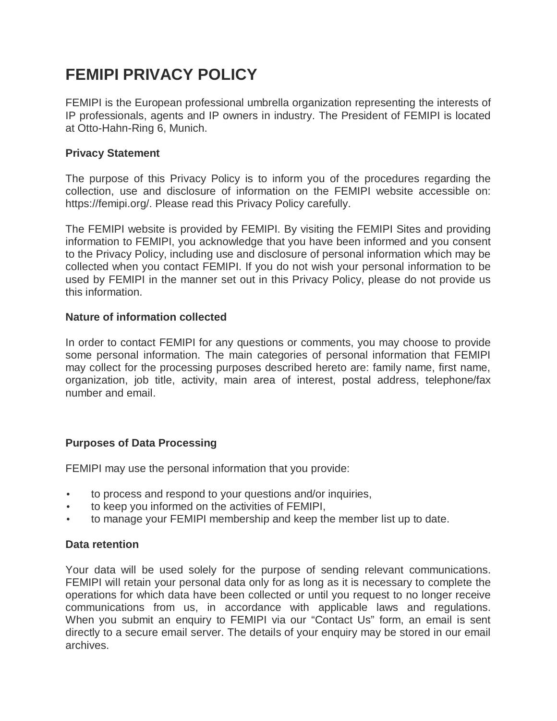# **FEMIPI PRIVACY POLICY**

FEMIPI is the European professional umbrella organization representing the interests of IP professionals, agents and IP owners in industry. The President of FEMIPI is located at Otto-Hahn-Ring 6, Munich.

## **Privacy Statement**

The purpose of this Privacy Policy is to inform you of the procedures regarding the collection, use and disclosure of information on the FEMIPI website accessible on: https://femipi.org/. Please read this Privacy Policy carefully.

The FEMIPI website is provided by FEMIPI. By visiting the FEMIPI Sites and providing information to FEMIPI, you acknowledge that you have been informed and you consent to the Privacy Policy, including use and disclosure of personal information which may be collected when you contact FEMIPI. If you do not wish your personal information to be used by FEMIPI in the manner set out in this Privacy Policy, please do not provide us this information.

## **Nature of information collected**

In order to contact FEMIPI for any questions or comments, you may choose to provide some personal information. The main categories of personal information that FEMIPI may collect for the processing purposes described hereto are: family name, first name, organization, job title, activity, main area of interest, postal address, telephone/fax number and email.

# **Purposes of Data Processing**

FEMIPI may use the personal information that you provide:

- to process and respond to your questions and/or inquiries,
- to keep you informed on the activities of FEMIPI,
- to manage your FEMIPI membership and keep the member list up to date.

#### **Data retention**

Your data will be used solely for the purpose of sending relevant communications. FEMIPI will retain your personal data only for as long as it is necessary to complete the operations for which data have been collected or until you request to no longer receive communications from us, in accordance with applicable laws and regulations. When you submit an enquiry to FEMIPI via our "Contact Us" form, an email is sent directly to a secure email server. The details of your enquiry may be stored in our email archives.